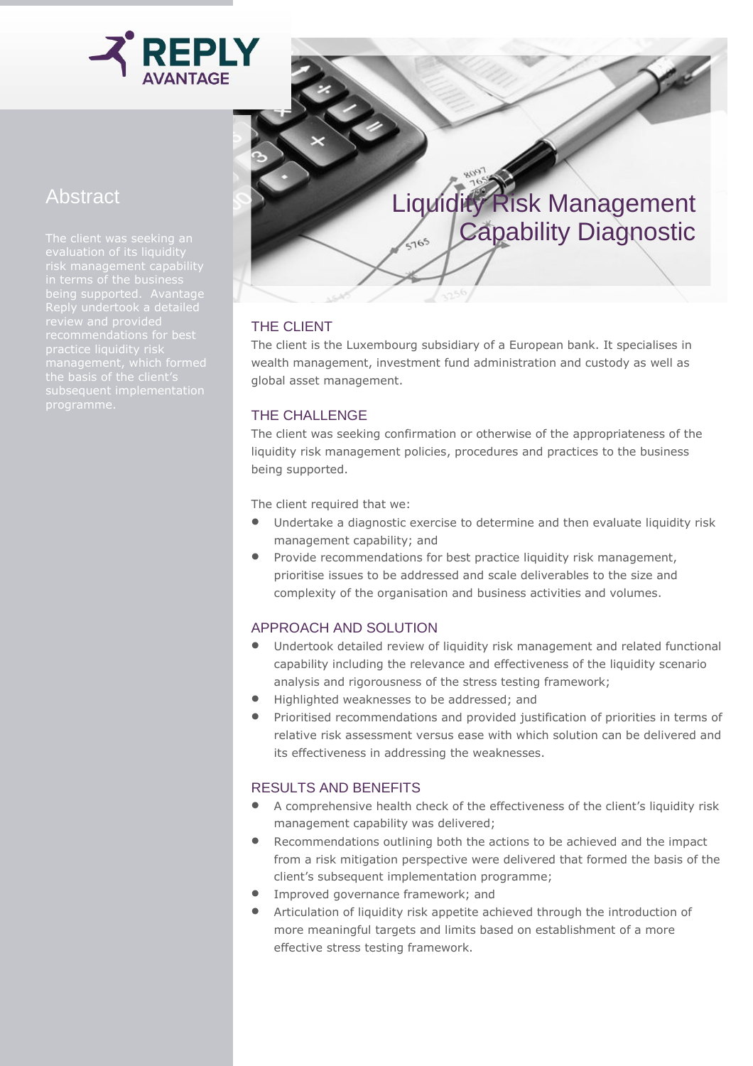

# Abstract

The client was seeking an Reply undertook a detailed

## Liquidity Risk Management Capability Diagnostic  $\sqrt{165}$

### THE CLIENT

The client is the Luxembourg subsidiary of a European bank. It specialises in wealth management, investment fund administration and custody as well as global asset management.

#### THE CHALLENGE

The client was seeking confirmation or otherwise of the appropriateness of the liquidity risk management policies, procedures and practices to the business being supported.

The client required that we:

- Undertake a diagnostic exercise to determine and then evaluate liquidity risk management capability; and
- Provide recommendations for best practice liquidity risk management, prioritise issues to be addressed and scale deliverables to the size and complexity of the organisation and business activities and volumes.

#### APPROACH AND SOLUTION

- Undertook detailed review of liquidity risk management and related functional capability including the relevance and effectiveness of the liquidity scenario analysis and rigorousness of the stress testing framework;
- Highlighted weaknesses to be addressed; and
- **•** Prioritised recommendations and provided justification of priorities in terms of relative risk assessment versus ease with which solution can be delivered and its effectiveness in addressing the weaknesses.

#### RESULTS AND BENEFITS

- A comprehensive health check of the effectiveness of the client's liquidity risk management capability was delivered;
- Recommendations outlining both the actions to be achieved and the impact from a risk mitigation perspective were delivered that formed the basis of the client's subsequent implementation programme;
- **•** Improved governance framework; and
- Articulation of liquidity risk appetite achieved through the introduction of more meaningful targets and limits based on establishment of a more effective stress testing framework.